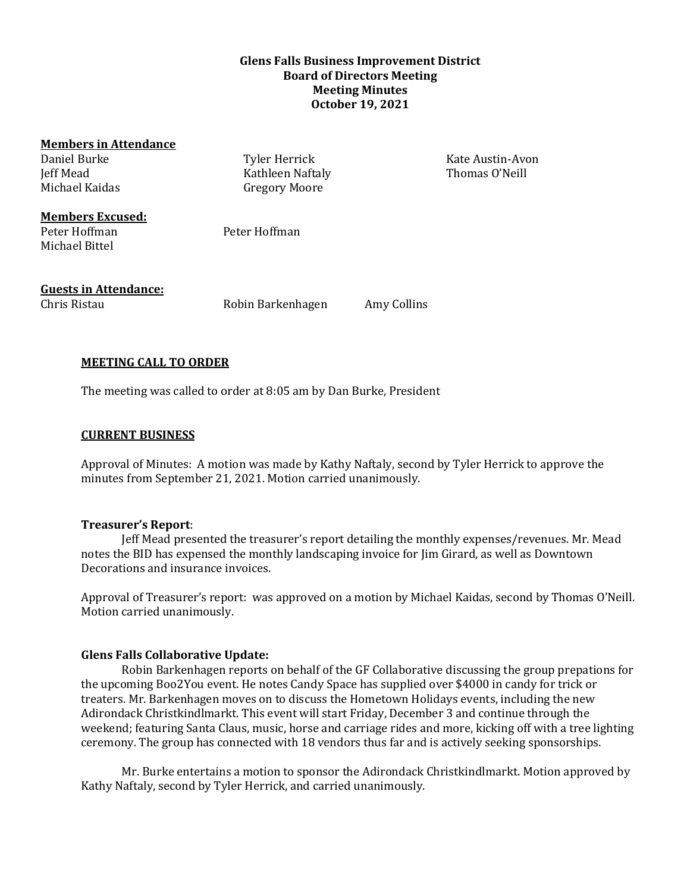# **Glens Falls Business Improvement District Board of Directors Meeting Meeting Minutes October 19, 2021**

| <b>Members in Attendance</b> |                      |             |                  |
|------------------------------|----------------------|-------------|------------------|
| Daniel Burke                 | Tyler Herrick        |             | Kate Austin-Avon |
| Jeff Mead                    | Kathleen Naftaly     |             | Thomas O'Neill   |
| Michael Kaidas               | <b>Gregory Moore</b> |             |                  |
| <b>Members Excused:</b>      |                      |             |                  |
| Peter Hoffman                | Peter Hoffman        |             |                  |
| Michael Bittel               |                      |             |                  |
|                              |                      |             |                  |
| <b>Guests in Attendance:</b> |                      |             |                  |
| Chris Ristau                 | Robin Barkenhagen    | Amy Collins |                  |
|                              |                      |             |                  |

# **MEETING CALL TO ORDER**

The meeting was called to order at 8:05 am by Dan Burke, President

#### **CURRENT BUSINESS**

Approval of Minutes: A motion was made by Kathy Naftaly, second by Tyler Herrick to approve the minutes from September 21, 2021. Motion carried unanimously.

#### **Treasurer's Report**:

Jeff Mead presented the treasurer's report detailing the monthly expenses/revenues. Mr. Mead notes the BID has expensed the monthly landscaping invoice for Jim Girard, as well as Downtown Decorations and insurance invoices.

Approval of Treasurer's report: was approved on a motion by Michael Kaidas, second by Thomas O'Neill. Motion carried unanimously.

## **Glens Falls Collaborative Update:**

Robin Barkenhagen reports on behalf of the GF Collaborative discussing the group prepations for the upcoming Boo2You event. He notes Candy Space has supplied over \$4000 in candy for trick or treaters. Mr. Barkenhagen moves on to discuss the Hometown Holidays events, including the new Adirondack Christkindlmarkt. This event will start Friday, December 3 and continue through the weekend; featuring Santa Claus, music, horse and carriage rides and more, kicking off with a tree lighting ceremony. The group has connected with 18 vendors thus far and is actively seeking sponsorships.

Mr. Burke entertains a motion to sponsor the Adirondack Christkindlmarkt. Motion approved by Kathy Naftaly, second by Tyler Herrick, and carried unanimously.